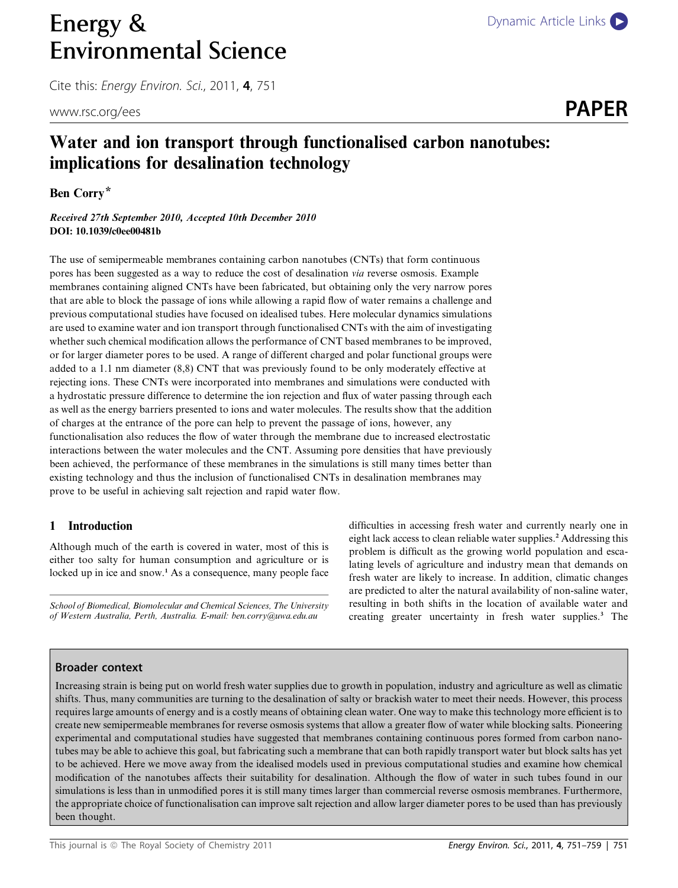# Energy & [Dynamic Article Links](http://dx.doi.org/10.1039/c0ee00481b) Environmental Science

Cite this: Energy Environ. Sci., 2011, 4, 751

# www.rsc.org/ees **PAPER**

# Water and ion transport through functionalised carbon nanotubes: implications for desalination technology

# Ben Corry\*

Received 27th September 2010, Accepted 10th December 2010 DOI: 10.1039/c0ee00481b

The use of semipermeable membranes containing carbon nanotubes (CNTs) that form continuous pores has been suggested as a way to reduce the cost of desalination via reverse osmosis. Example membranes containing aligned CNTs have been fabricated, but obtaining only the very narrow pores that are able to block the passage of ions while allowing a rapid flow of water remains a challenge and previous computational studies have focused on idealised tubes. Here molecular dynamics simulations are used to examine water and ion transport through functionalised CNTs with the aim of investigating whether such chemical modification allows the performance of CNT based membranes to be improved, or for larger diameter pores to be used. A range of different charged and polar functional groups were added to a 1.1 nm diameter (8,8) CNT that was previously found to be only moderately effective at rejecting ions. These CNTs were incorporated into membranes and simulations were conducted with a hydrostatic pressure difference to determine the ion rejection and flux of water passing through each as well as the energy barriers presented to ions and water molecules. The results show that the addition of charges at the entrance of the pore can help to prevent the passage of ions, however, any functionalisation also reduces the flow of water through the membrane due to increased electrostatic interactions between the water molecules and the CNT. Assuming pore densities that have previously been achieved, the performance of these membranes in the simulations is still many times better than existing technology and thus the inclusion of functionalised CNTs in desalination membranes may prove to be useful in achieving salt rejection and rapid water flow.

## 1 Introduction

Although much of the earth is covered in water, most of this is either too salty for human consumption and agriculture or is locked up in ice and snow.<sup>1</sup> As a consequence, many people face

School of Biomedical, Biomolecular and Chemical Sciences, The University of Western Australia, Perth, Australia. E-mail: ben.corry@uwa.edu.au

difficulties in accessing fresh water and currently nearly one in eight lack access to clean reliable water supplies.<sup>2</sup> Addressing this problem is difficult as the growing world population and escalating levels of agriculture and industry mean that demands on fresh water are likely to increase. In addition, climatic changes are predicted to alter the natural availability of non-saline water, resulting in both shifts in the location of available water and creating greater uncertainty in fresh water supplies.<sup>3</sup> The

# Broader context

Increasing strain is being put on world fresh water supplies due to growth in population, industry and agriculture as well as climatic shifts. Thus, many communities are turning to the desalination of salty or brackish water to meet their needs. However, this process requires large amounts of energy and is a costly means of obtaining clean water. One way to make this technology more efficient is to create new semipermeable membranes for reverse osmosis systems that allow a greater flow of water while blocking salts. Pioneering experimental and computational studies have suggested that membranes containing continuous pores formed from carbon nanotubes may be able to achieve this goal, but fabricating such a membrane that can both rapidly transport water but block salts has yet to be achieved. Here we move away from the idealised models used in previous computational studies and examine how chemical modification of the nanotubes affects their suitability for desalination. Although the flow of water in such tubes found in our simulations is less than in unmodified pores it is still many times larger than commercial reverse osmosis membranes. Furthermore, the appropriate choice of functionalisation can improve salt rejection and allow larger diameter pores to be used than has previously been thought.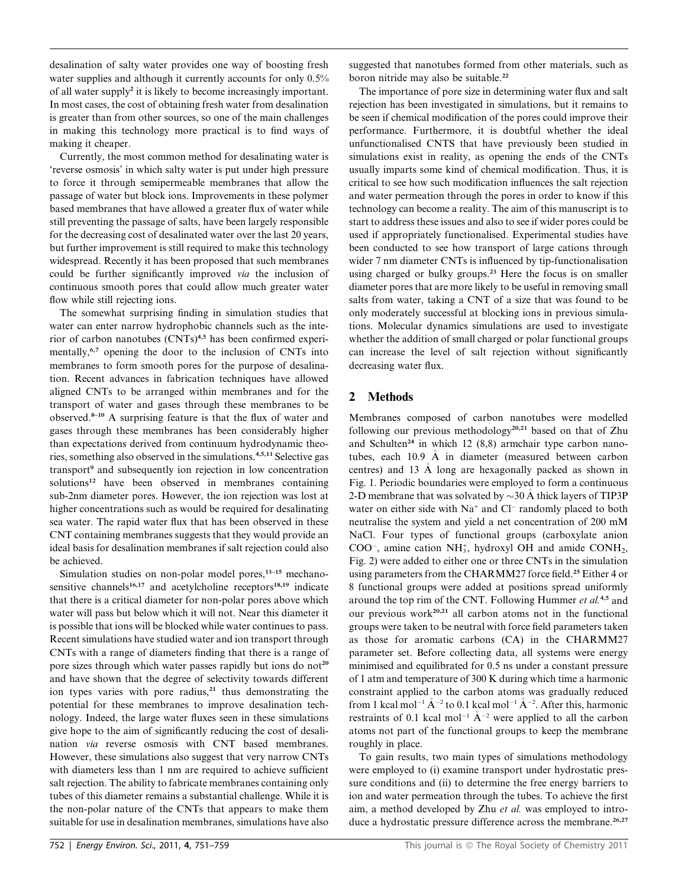desalination of salty water provides one way of boosting fresh water supplies and although it currently accounts for only 0.5% of all water supply<sup>2</sup> it is likely to become increasingly important. In most cases, the cost of obtaining fresh water from desalination is greater than from other sources, so one of the main challenges in making this technology more practical is to find ways of making it cheaper.

Currently, the most common method for desalinating water is 'reverse osmosis' in which salty water is put under high pressure to force it through semipermeable membranes that allow the passage of water but block ions. Improvements in these polymer based membranes that have allowed a greater flux of water while still preventing the passage of salts, have been largely responsible for the decreasing cost of desalinated water over the last 20 years, but further improvement is still required to make this technology widespread. Recently it has been proposed that such membranes could be further significantly improved via the inclusion of continuous smooth pores that could allow much greater water flow while still rejecting ions.

The somewhat surprising finding in simulation studies that water can enter narrow hydrophobic channels such as the interior of carbon nanotubes (CNTs)<sup>4,5</sup> has been confirmed experimentally,<sup>6,7</sup> opening the door to the inclusion of CNTs into membranes to form smooth pores for the purpose of desalination. Recent advances in fabrication techniques have allowed aligned CNTs to be arranged within membranes and for the transport of water and gases through these membranes to be observed.<sup>8–10</sup> A surprising feature is that the flux of water and gases through these membranes has been considerably higher than expectations derived from continuum hydrodynamic theories, something also observed in the simulations.4,5,11 Selective gas transport<sup>9</sup> and subsequently ion rejection in low concentration solutions<sup>12</sup> have been observed in membranes containing sub-2nm diameter pores. However, the ion rejection was lost at higher concentrations such as would be required for desalinating sea water. The rapid water flux that has been observed in these CNT containing membranes suggests that they would provide an ideal basis for desalination membranes if salt rejection could also be achieved.

Simulation studies on non-polar model pores,<sup>13-15</sup> mechanosensitive channels<sup>16,17</sup> and acetylcholine receptors<sup>18,19</sup> indicate that there is a critical diameter for non-polar pores above which water will pass but below which it will not. Near this diameter it is possible that ions will be blocked while water continues to pass. Recent simulations have studied water and ion transport through CNTs with a range of diameters finding that there is a range of pore sizes through which water passes rapidly but ions do not<sup>20</sup> and have shown that the degree of selectivity towards different ion types varies with pore radius, $2<sup>1</sup>$  thus demonstrating the potential for these membranes to improve desalination technology. Indeed, the large water fluxes seen in these simulations give hope to the aim of significantly reducing the cost of desalination via reverse osmosis with CNT based membranes. However, these simulations also suggest that very narrow CNTs with diameters less than 1 nm are required to achieve sufficient salt rejection. The ability to fabricate membranes containing only tubes of this diameter remains a substantial challenge. While it is the non-polar nature of the CNTs that appears to make them suitable for use in desalination membranes, simulations have also

suggested that nanotubes formed from other materials, such as boron nitride may also be suitable.<sup>22</sup>

The importance of pore size in determining water flux and salt rejection has been investigated in simulations, but it remains to be seen if chemical modification of the pores could improve their performance. Furthermore, it is doubtful whether the ideal unfunctionalised CNTS that have previously been studied in simulations exist in reality, as opening the ends of the CNTs usually imparts some kind of chemical modification. Thus, it is critical to see how such modification influences the salt rejection and water permeation through the pores in order to know if this technology can become a reality. The aim of this manuscript is to start to address these issues and also to see if wider pores could be used if appropriately functionalised. Experimental studies have been conducted to see how transport of large cations through wider 7 nm diameter CNTs is influenced by tip-functionalisation using charged or bulky groups.<sup>23</sup> Here the focus is on smaller diameter pores that are more likely to be useful in removing small salts from water, taking a CNT of a size that was found to be only moderately successful at blocking ions in previous simulations. Molecular dynamics simulations are used to investigate whether the addition of small charged or polar functional groups can increase the level of salt rejection without significantly decreasing water flux.

## 2 Methods

Membranes composed of carbon nanotubes were modelled following our previous methodology<sup>20,21</sup> based on that of Zhu and Schulten<sup>24</sup> in which 12  $(8,8)$  armchair type carbon nanotubes, each  $10.9$   $\AA$  in diameter (measured between carbon centres) and 13  $\AA$  long are hexagonally packed as shown in Fig. 1. Periodic boundaries were employed to form a continuous 2-D membrane that was solvated by  $\sim$  30 Å thick layers of TIP3P water on either side with  $Na^+$  and  $Cl^-$  randomly placed to both neutralise the system and yield a net concentration of 200 mM NaCl. Four types of functional groups (carboxylate anion COO<sup>-</sup>, amine cation NH<sup>+</sup>, hydroxyl OH and amide CONH<sub>2</sub>, Fig. 2) were added to either one or three CNTs in the simulation using parameters from the CHARMM27 force field.<sup>25</sup> Either 4 or 8 functional groups were added at positions spread uniformly around the top rim of the CNT. Following Hummer *et al.*<sup>4,5</sup> and our previous work20,21 all carbon atoms not in the functional groups were taken to be neutral with force field parameters taken as those for aromatic carbons (CA) in the CHARMM27 parameter set. Before collecting data, all systems were energy minimised and equilibrated for 0.5 ns under a constant pressure of 1 atm and temperature of 300 K during which time a harmonic constraint applied to the carbon atoms was gradually reduced from 1 kcal mol<sup>-1</sup>  $\AA^{-2}$  to 0.1 kcal mol<sup>-1</sup>  $\AA^{-2}$ . After this, harmonic restraints of 0.1 kcal mol<sup>-1</sup>  $A^{-2}$  were applied to all the carbon atoms not part of the functional groups to keep the membrane roughly in place.

To gain results, two main types of simulations methodology were employed to (i) examine transport under hydrostatic pressure conditions and (ii) to determine the free energy barriers to ion and water permeation through the tubes. To achieve the first aim, a method developed by Zhu et al. was employed to introduce a hydrostatic pressure difference across the membrane.<sup>26,27</sup>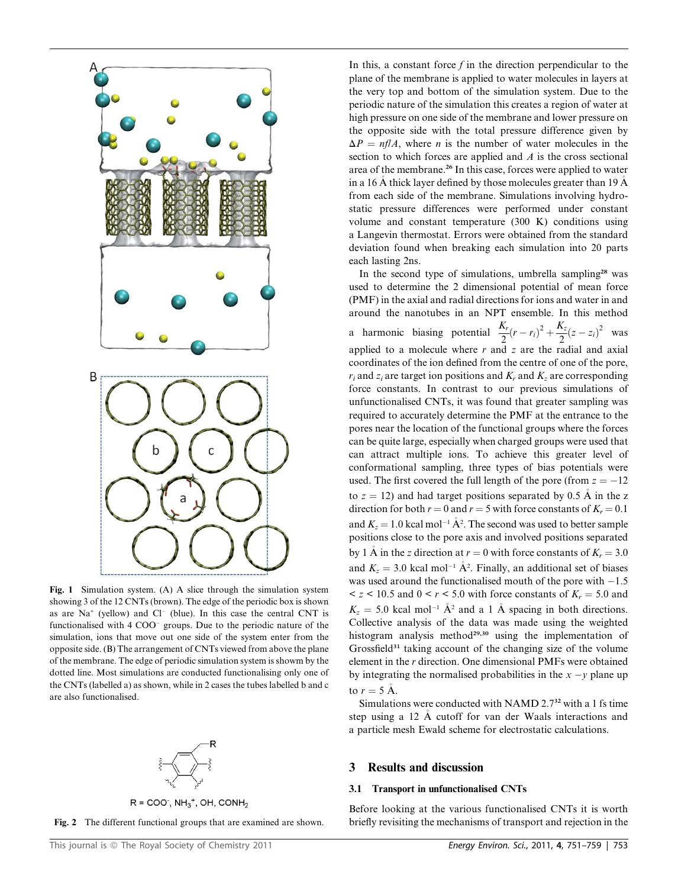

Fig. 1 Simulation system. (A) A slice through the simulation system showing 3 of the 12 CNTs (brown). The edge of the periodic box is shown as are  $Na<sup>+</sup>$  (yellow) and Cl<sup>-</sup> (blue). In this case the central CNT is functionalised with 4 COO<sup>-</sup> groups. Due to the periodic nature of the simulation, ions that move out one side of the system enter from the opposite side. (B) The arrangement of CNTs viewed from above the plane of the membrane. The edge of periodic simulation system is showm by the dotted line. Most simulations are conducted functionalising only one of the CNTs (labelled a) as shown, while in 2 cases the tubes labelled b and c are also functionalised.



 $R = COO^{-}$ ,  $NH_3$ <sup>+</sup>, OH, CONH<sub>2</sub>



In this, a constant force  $f$  in the direction perpendicular to the plane of the membrane is applied to water molecules in layers at the very top and bottom of the simulation system. Due to the periodic nature of the simulation this creates a region of water at high pressure on one side of the membrane and lower pressure on the opposite side with the total pressure difference given by  $\Delta P = n f/A$ , where *n* is the number of water molecules in the section to which forces are applied and  $A$  is the cross sectional area of the membrane.<sup>26</sup> In this case, forces were applied to water in a 16 Å thick layer defined by those molecules greater than 19 Å from each side of the membrane. Simulations involving hydrostatic pressure differences were performed under constant volume and constant temperature (300 K) conditions using a Langevin thermostat. Errors were obtained from the standard deviation found when breaking each simulation into 20 parts each lasting 2ns.

In the second type of simulations, umbrella sampling<sup>28</sup> was used to determine the 2 dimensional potential of mean force (PMF) in the axial and radial directions for ions and water in and around the nanotubes in an NPT ensemble. In this method a harmonic biasing potential  $\frac{K_r}{2}(r-r_i)^2 + \frac{K_z}{2}(z-z_i)^2$  was applied to a molecule where  $r$  and  $z$  are the radial and axial coordinates of the ion defined from the centre of one of the pore,  $r_i$  and  $z_i$  are target ion positions and  $K_r$  and  $K_z$  are corresponding force constants. In contrast to our previous simulations of unfunctionalised CNTs, it was found that greater sampling was required to accurately determine the PMF at the entrance to the pores near the location of the functional groups where the forces can be quite large, especially when charged groups were used that can attract multiple ions. To achieve this greater level of conformational sampling, three types of bias potentials were used. The first covered the full length of the pore (from  $z = -12$ ) to  $z = 12$ ) and had target positions separated by 0.5 Å in the z direction for both  $r = 0$  and  $r = 5$  with force constants of  $K_r = 0.1$ and  $K_z = 1.0$  kcal mol<sup>-1</sup>  $\AA^2$ . The second was used to better sample positions close to the pore axis and involved positions separated by 1 Å in the z direction at  $r = 0$  with force constants of  $K_r = 3.0$ and  $K_z = 3.0$  kcal mol<sup>-1</sup>  $\AA$ <sup>2</sup>. Finally, an additional set of biases was used around the functionalised mouth of the pore with  $-1.5$  $\leq z \leq 10.5$  and  $0 \leq r \leq 5.0$  with force constants of  $K_r = 5.0$  and  $K_z = 5.0$  kcal mol<sup>-1</sup>  $\mathring{A}^2$  and a 1  $\mathring{A}$  spacing in both directions. Collective analysis of the data was made using the weighted histogram analysis method<sup>29,30</sup> using the implementation of Grossfield<sup>31</sup> taking account of the changing size of the volume element in the r direction. One dimensional PMFs were obtained by integrating the normalised probabilities in the  $x - y$  plane up to  $r = 5 \text{ Å}.$ 

Simulations were conducted with NAMD 2.7<sup>32</sup> with a 1 fs time step using a 12  $\AA$  cutoff for van der Waals interactions and a particle mesh Ewald scheme for electrostatic calculations.

#### 3 Results and discussion

#### 3.1 Transport in unfunctionalised CNTs

Before looking at the various functionalised CNTs it is worth briefly revisiting the mechanisms of transport and rejection in the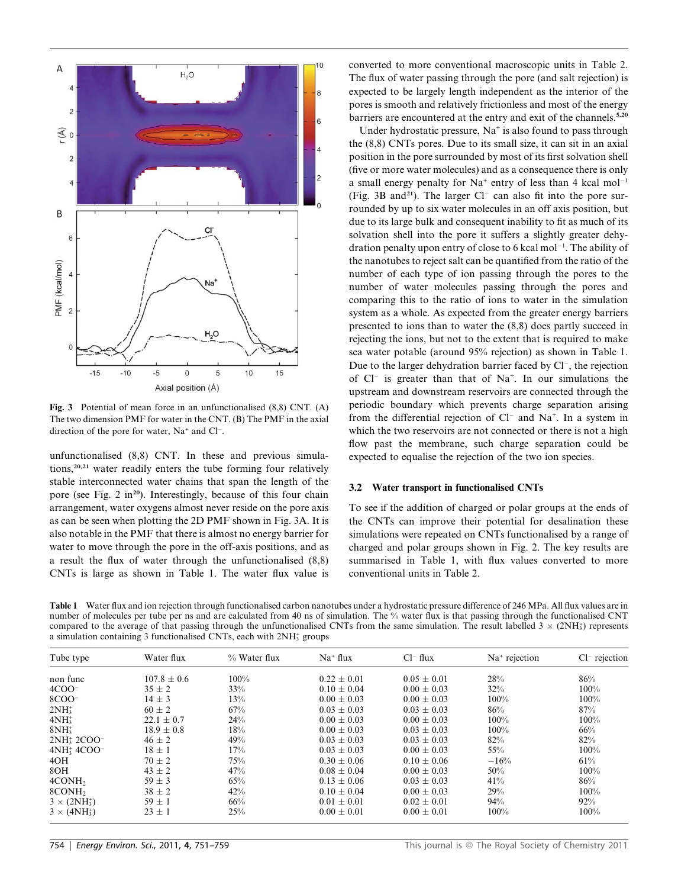

Fig. 3 Potential of mean force in an unfunctionalised (8,8) CNT. (A) The two dimension PMF for water in the CNT. (B) The PMF in the axial direction of the pore for water, Na<sup>+</sup> and Cl<sup>-</sup>.

unfunctionalised (8,8) CNT. In these and previous simulations,<sup>20,21</sup> water readily enters the tube forming four relatively stable interconnected water chains that span the length of the pore (see Fig.  $2 \text{ in}^{20}$ ). Interestingly, because of this four chain arrangement, water oxygens almost never reside on the pore axis as can be seen when plotting the 2D PMF shown in Fig. 3A. It is also notable in the PMF that there is almost no energy barrier for water to move through the pore in the off-axis positions, and as a result the flux of water through the unfunctionalised (8,8) CNTs is large as shown in Table 1. The water flux value is

converted to more conventional macroscopic units in Table 2. The flux of water passing through the pore (and salt rejection) is expected to be largely length independent as the interior of the pores is smooth and relatively frictionless and most of the energy barriers are encountered at the entry and exit of the channels.<sup>5,20</sup>

Under hydrostatic pressure,  $Na<sup>+</sup>$  is also found to pass through the (8,8) CNTs pores. Due to its small size, it can sit in an axial position in the pore surrounded by most of its first solvation shell (five or more water molecules) and as a consequence there is only a small energy penalty for  $Na^+$  entry of less than 4 kcal mol<sup>-1</sup> (Fig. 3B and<sup>21</sup>). The larger  $Cl^-$  can also fit into the pore surrounded by up to six water molecules in an off axis position, but due to its large bulk and consequent inability to fit as much of its solvation shell into the pore it suffers a slightly greater dehydration penalty upon entry of close to  $6$  kcal mol<sup>-1</sup>. The ability of the nanotubes to reject salt can be quantified from the ratio of the number of each type of ion passing through the pores to the number of water molecules passing through the pores and comparing this to the ratio of ions to water in the simulation system as a whole. As expected from the greater energy barriers presented to ions than to water the (8,8) does partly succeed in rejecting the ions, but not to the extent that is required to make sea water potable (around 95% rejection) as shown in Table 1. Due to the larger dehydration barrier faced by  $Cl^-$ , the rejection of  $Cl^-$  is greater than that of Na<sup>+</sup>. In our simulations the upstream and downstream reservoirs are connected through the periodic boundary which prevents charge separation arising from the differential rejection of  $Cl^-$  and  $Na^+$ . In a system in which the two reservoirs are not connected or there is not a high flow past the membrane, such charge separation could be expected to equalise the rejection of the two ion species.

#### 3.2 Water transport in functionalised CNTs

To see if the addition of charged or polar groups at the ends of the CNTs can improve their potential for desalination these simulations were repeated on CNTs functionalised by a range of charged and polar groups shown in Fig. 2. The key results are summarised in Table 1, with flux values converted to more conventional units in Table 2.

Table 1 Water flux and ion rejection through functionalised carbon nanotubes under a hydrostatic pressure difference of 246 MPa. All flux values are in number of molecules per tube per ns and are calculated from 40 ns of simulation. The % water flux is that passing through the functionalised CNT compared to the average of that passing through the unfunctionalised CNTs from the same simulation. The result labelled  $3 \times (2NH_3^*)$  represents a simulation containing 3 functionalised CNTs, each with 2NH<sub>3</sub> groups

| Tube type                          | Water flux    | $%$ Water flux | $Na+ flux$      | $Cl^-$ flux     | $Na+$ rejection | $Cl^-$ rejection |
|------------------------------------|---------------|----------------|-----------------|-----------------|-----------------|------------------|
| non func                           | $107.8 + 0.6$ | $100\%$        | $0.22 \pm 0.01$ | $0.05 \pm 0.01$ | 28%             | 86%              |
| $4COO-$                            | $35 \pm 2$    | 33%            | $0.10 \pm 0.04$ | $0.00 \pm 0.03$ | 32%             | 100%             |
| $8COO-$                            | $14 \pm 3$    | 13%            | $0.00 + 0.03$   | $0.00 + 0.03$   | 100%            | 100%             |
| 2NH <sub>3</sub>                   | $60 \pm 2$    | 67%            | $0.03 \pm 0.03$ | $0.03 + 0.03$   | 86%             | 87%              |
| 4NH <sub>3</sub>                   | $22.1 + 0.7$  | 24%            | $0.00 \pm 0.03$ | $0.00 + 0.03$   | 100%            | 100%             |
| $8NH_3^+$                          | $18.9 + 0.8$  | 18%            | $0.00 + 0.03$   | $0.03 + 0.03$   | 100%            | 66%              |
| 2NH <sub>3</sub> 2COO <sup>-</sup> | $46 \pm 2$    | 49%            | $0.03 \pm 0.03$ | $0.03 \pm 0.03$ | 82%             | 82%              |
| $4NH3$ $4COO-$                     | $18 \pm 1$    | 17%            | $0.03 + 0.03$   | $0.00 + 0.03$   | 55%             | 100%             |
| 40H                                | $70 \pm 2$    | 75%            | $0.30 \pm 0.06$ | $0.10 \pm 0.06$ | $-16%$          | 61%              |
| 8OH                                | $43 \pm 2$    | 47%            | $0.08 + 0.04$   | $0.00 + 0.03$   | 50%             | 100%             |
| 4CONH <sub>2</sub>                 | $59 \pm 3$    | 65%            | $0.13 \pm 0.06$ | $0.03 \pm 0.03$ | 41%             | 86%              |
| 8CONH <sub>2</sub>                 | $38 \pm 2$    | 42%            | $0.10 + 0.04$   | $0.00 + 0.03$   | 29%             | 100%             |
| $3 \times (2NH_3^+)$               | $59 \pm 1$    | 66%            | $0.01 + 0.01$   | $0.02 + 0.01$   | 94%             | 92%              |
| $3 \times (4NH_3^+)$               | $23 \pm 1$    | 25%            | $0.00 \pm 0.01$ | $0.00 \pm 0.01$ | 100%            | 100%             |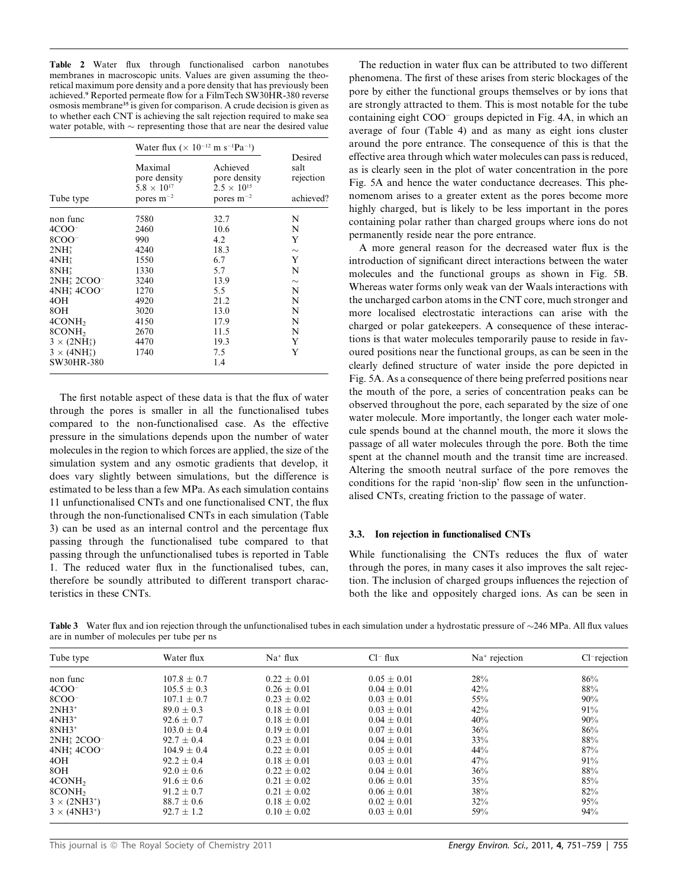Table 2 Water flux through functionalised carbon nanotubes membranes in macroscopic units. Values are given assuming the theoretical maximum pore density and a pore density that has previously been achieved.<sup>9</sup> Reported permeate flow for a FilmTech SW30HR-380 reverse osmosis membrane<sup>35</sup> is given for comparison. A crude decision is given as to whether each CNT is achieving the salt rejection required to make sea water potable, with  $\sim$  representing those that are near the desired value

|                                    | Water flux ( $\times$ 10 <sup>-12</sup> m s <sup>-1</sup> Pa <sup>-1</sup> ) |                                                                    |                                           |  |
|------------------------------------|------------------------------------------------------------------------------|--------------------------------------------------------------------|-------------------------------------------|--|
| Tube type                          | Maximal<br>pore density<br>$5.8 \times 10^{17}$<br>pores $m^{-2}$            | Achieved<br>pore density<br>$2.5 \times 10^{15}$<br>pores $m^{-2}$ | Desired<br>salt<br>rejection<br>achieved? |  |
| non func                           | 7580                                                                         | 32.7                                                               | N                                         |  |
| $4COO-$                            | 2460                                                                         | 10.6                                                               | N                                         |  |
| 8COO <sup>-</sup>                  | 990                                                                          | 4.2                                                                | Y                                         |  |
| $2NH_3^+$                          | 4240                                                                         | 18.3                                                               | $\sim$                                    |  |
| 4NH <sub>3</sub>                   | 1550                                                                         | 6.7                                                                | Y                                         |  |
| $8NH_3^+$                          | 1330                                                                         | 5.7                                                                | N                                         |  |
| 2NH <sub>7</sub> 2COO <sup>-</sup> | 3240                                                                         | 13.9                                                               | $\sim$                                    |  |
| 4NH <sub>2</sub> 4COO <sup>-</sup> | 1270                                                                         | 5.5                                                                | N                                         |  |
| 4OH                                | 4920                                                                         | 21.2                                                               | N                                         |  |
| 8OH                                | 3020                                                                         | 13.0                                                               | N                                         |  |
| 4CONH <sub>2</sub>                 | 4150                                                                         | 17.9                                                               | N                                         |  |
| 8CONH <sub>2</sub>                 | 2670                                                                         | 11.5                                                               | N                                         |  |
| $3 \times (2NH_3^+)$               | 4470                                                                         | 19.3                                                               | Y                                         |  |
| $3 \times (4NH_{3}^{+})$           | 1740                                                                         | 7.5                                                                | Y                                         |  |
| <b>SW30HR-380</b>                  |                                                                              | 1.4                                                                |                                           |  |

The first notable aspect of these data is that the flux of water through the pores is smaller in all the functionalised tubes compared to the non-functionalised case. As the effective pressure in the simulations depends upon the number of water molecules in the region to which forces are applied, the size of the simulation system and any osmotic gradients that develop, it does vary slightly between simulations, but the difference is estimated to be less than a few MPa. As each simulation contains 11 unfunctionalised CNTs and one functionalised CNT, the flux through the non-functionalised CNTs in each simulation (Table 3) can be used as an internal control and the percentage flux passing through the functionalised tube compared to that passing through the unfunctionalised tubes is reported in Table 1. The reduced water flux in the functionalised tubes, can, therefore be soundly attributed to different transport characteristics in these CNTs.

The reduction in water flux can be attributed to two different phenomena. The first of these arises from steric blockages of the pore by either the functional groups themselves or by ions that are strongly attracted to them. This is most notable for the tube containing eight  $COO<sup>-</sup>$  groups depicted in Fig. 4A, in which an average of four (Table 4) and as many as eight ions cluster around the pore entrance. The consequence of this is that the effective area through which water molecules can pass is reduced, as is clearly seen in the plot of water concentration in the pore Fig. 5A and hence the water conductance decreases. This phenomenom arises to a greater extent as the pores become more highly charged, but is likely to be less important in the pores containing polar rather than charged groups where ions do not permanently reside near the pore entrance.

A more general reason for the decreased water flux is the introduction of significant direct interactions between the water molecules and the functional groups as shown in Fig. 5B. Whereas water forms only weak van der Waals interactions with the uncharged carbon atoms in the CNT core, much stronger and more localised electrostatic interactions can arise with the charged or polar gatekeepers. A consequence of these interactions is that water molecules temporarily pause to reside in favoured positions near the functional groups, as can be seen in the clearly defined structure of water inside the pore depicted in Fig. 5A. As a consequence of there being preferred positions near the mouth of the pore, a series of concentration peaks can be observed throughout the pore, each separated by the size of one water molecule. More importantly, the longer each water molecule spends bound at the channel mouth, the more it slows the passage of all water molecules through the pore. Both the time spent at the channel mouth and the transit time are increased. Altering the smooth neutral surface of the pore removes the conditions for the rapid 'non-slip' flow seen in the unfunctionalised CNTs, creating friction to the passage of water.

#### 3.3. Ion rejection in functionalised CNTs

While functionalising the CNTs reduces the flux of water through the pores, in many cases it also improves the salt rejection. The inclusion of charged groups influences the rejection of both the like and oppositely charged ions. As can be seen in

**Table 3** Water flux and ion rejection through the unfunctionalised tubes in each simulation under a hydrostatic pressure of  $\sim$ 246 MPa. All flux values are in number of molecules per tube per ns

| Tube type              | Water flux      | $Na+ flux$      | $Cl^-$ flux     | $Na+$ rejection | $Cl$ <sup>-rejection</sup> |
|------------------------|-----------------|-----------------|-----------------|-----------------|----------------------------|
| non func               | $107.8 \pm 0.7$ | $0.22 + 0.01$   | $0.05 \pm 0.01$ | 28%             | 86%                        |
| $4COO-$                | $105.5 \pm 0.3$ | $0.26 + 0.01$   | $0.04 + 0.01$   | 42%             | 88%                        |
| $8COO-$                | $107.1 \pm 0.7$ | $0.23 + 0.02$   | $0.03 + 0.01$   | 55%             | 90%                        |
| $2NH3$ <sup>+</sup>    | $89.0 + 0.3$    | $0.18 + 0.01$   | $0.03 + 0.01$   | 42%             | 91%                        |
| $4NH3$ <sup>+</sup>    | $92.6 + 0.7$    | $0.18 + 0.01$   | $0.04 + 0.01$   | 40%             | 90%                        |
| $8NH3$ <sup>+</sup>    | $103.0 \pm 0.4$ | $0.19 + 0.01$   | $0.07 + 0.01$   | 36%             | 86%                        |
| 2NH <sub>2</sub> 2COO- | $92.7 \pm 0.4$  | $0.23 + 0.01$   | $0.04 \pm 0.01$ | 33%             | 88%                        |
| $4NH3$ $4COO-$         | $104.9 \pm 0.4$ | $0.22 + 0.01$   | $0.05 + 0.01$   | 44%             | 87%                        |
| 4OH                    | $92.2 \pm 0.4$  | $0.18 \pm 0.01$ | $0.03 \pm 0.01$ | 47%             | 91%                        |
| 8OH                    | $92.0 \pm 0.6$  | $0.22 \pm 0.02$ | $0.04 \pm 0.01$ | 36%             | 88%                        |
| 4CONH <sub>2</sub>     | $91.6 \pm 0.6$  | $0.21 \pm 0.02$ | $0.06 \pm 0.01$ | 35%             | 85%                        |
| 8CONH <sub>2</sub>     | $91.2 \pm 0.7$  | $0.21 + 0.02$   | $0.06 \pm 0.01$ | 38%             | 82%                        |
| $3 \times (2NH3^{+})$  | $88.7 + 0.6$    | $0.18 + 0.02$   | $0.02 \pm 0.01$ | 32%             | 95%                        |
| $3 \times (4NH3^{+})$  | $92.7 \pm 1.2$  | $0.10 \pm 0.02$ | $0.03 \pm 0.01$ | 59%             | 94%                        |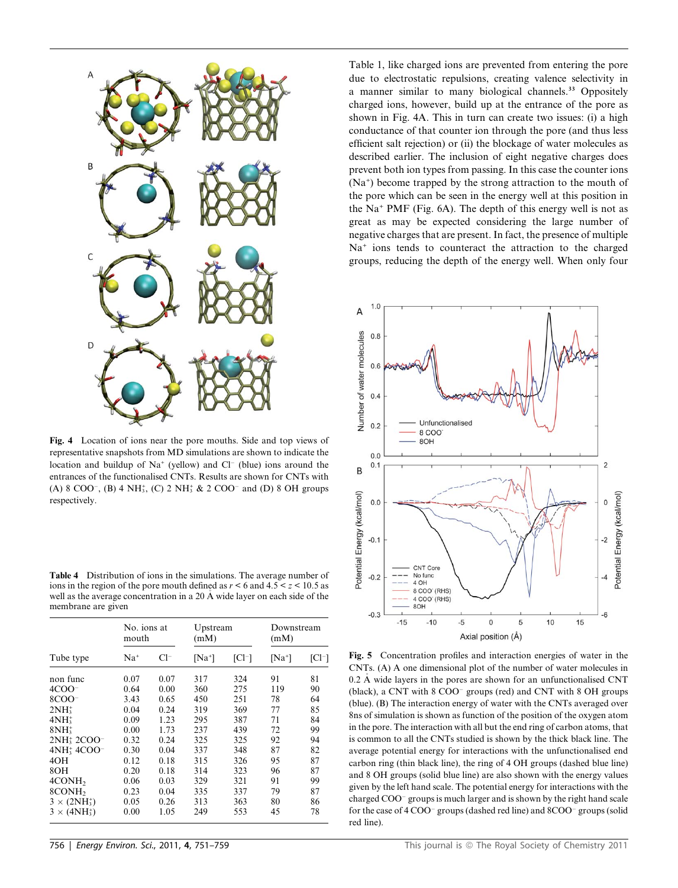

Fig. 4 Location of ions near the pore mouths. Side and top views of representative snapshots from MD simulations are shown to indicate the location and buildup of  $Na^+$  (yellow) and  $Cl^-$  (blue) ions around the entrances of the functionalised CNTs. Results are shown for CNTs with  $(A) 8 COO^{-}$ ,  $(B) 4 NH_3^*$ ,  $(C) 2 NH_3^*$  & 2  $COO^{-}$  and  $(D) 8 OH$  groups respectively.

Table 4 Distribution of ions in the simulations. The average number of ions in the region of the pore mouth defined as  $r < 6$  and  $4.5 < z < 10.5$  as well as the average concentration in a 20 Å wide layer on each side of the membrane are given

|                                    | No. ions at<br>mouth |        | Upstream<br>(mM) |                    | Downstream<br>(mM) |          |
|------------------------------------|----------------------|--------|------------------|--------------------|--------------------|----------|
| Tube type                          | Na <sup>+</sup>      | $Cl^-$ | [Na†]            | [Cl <sup>-</sup> ] | [Na <sup>+</sup> ] | $ Cl^- $ |
| non func                           | 0.07                 | 0.07   | 317              | 324                | 91                 | 81       |
| $4COO-$                            | 0.64                 | 0.00   | 360              | 275                | 119                | 90       |
| 8COO <sup>-</sup>                  | 3.43                 | 0.65   | 450              | 251                | 78                 | 64       |
| 2NH <sub>3</sub>                   | 0.04                 | 0.24   | 319              | 369                | 77                 | 85       |
| 4NH <sub>3</sub>                   | 0.09                 | 1.23   | 295              | 387                | 71                 | 84       |
| $8NH_3^+$                          | 0.00                 | 1.73   | 237              | 439                | 72                 | 99       |
| 2NH <sub>7</sub> 2COO <sup>-</sup> | 0.32                 | 0.24   | 325              | 325                | 92                 | 94       |
| 4NH <sub>2</sub> 4COO <sup>-</sup> | 0.30                 | 0.04   | 337              | 348                | 87                 | 82       |
| 40H                                | 0.12                 | 0.18   | 315              | 326                | 95                 | 87       |
| 8OH                                | 0.20                 | 0.18   | 314              | 323                | 96                 | 87       |
| 4CONH <sub>2</sub>                 | 0.06                 | 0.03   | 329              | 321                | 91                 | 99       |
| 8CONH <sub>2</sub>                 | 0.23                 | 0.04   | 335              | 337                | 79                 | 87       |
| $3 \times (2NH_3^+)$               | 0.05                 | 0.26   | 313              | 363                | 80                 | 86       |
| $3 \times (4NH_3^+)$               | 0.00                 | 1.05   | 249              | 553                | 45                 | 78       |

Table 1, like charged ions are prevented from entering the pore due to electrostatic repulsions, creating valence selectivity in a manner similar to many biological channels.<sup>33</sup> Oppositely charged ions, however, build up at the entrance of the pore as shown in Fig. 4A. This in turn can create two issues: (i) a high conductance of that counter ion through the pore (and thus less efficient salt rejection) or (ii) the blockage of water molecules as described earlier. The inclusion of eight negative charges does prevent both ion types from passing. In this case the counter ions  $(Na<sup>+</sup>)$  become trapped by the strong attraction to the mouth of the pore which can be seen in the energy well at this position in the  $Na<sup>+</sup> PMF$  (Fig. 6A). The depth of this energy well is not as great as may be expected considering the large number of negative charges that are present. In fact, the presence of multiple Na<sup>+</sup> ions tends to counteract the attraction to the charged groups, reducing the depth of the energy well. When only four



Fig. 5 Concentration profiles and interaction energies of water in the CNTs. (A) A one dimensional plot of the number of water molecules in  $0.2 \text{ Å}$  wide layers in the pores are shown for an unfunctionalised CNT (black), a CNT with  $8 \text{ COO}$  groups (red) and CNT with  $8 \text{ OH}$  groups (blue). (B) The interaction energy of water with the CNTs averaged over 8ns of simulation is shown as function of the position of the oxygen atom in the pore. The interaction with all but the end ring of carbon atoms, that is common to all the CNTs studied is shown by the thick black line. The average potential energy for interactions with the unfunctionalised end carbon ring (thin black line), the ring of 4 OH groups (dashed blue line) and 8 OH groups (solid blue line) are also shown with the energy values given by the left hand scale. The potential energy for interactions with the charged COO<sup>-</sup> groups is much larger and is shown by the right hand scale for the case of 4 COO<sup>-</sup> groups (dashed red line) and 8COO<sup>-</sup> groups (solid red line).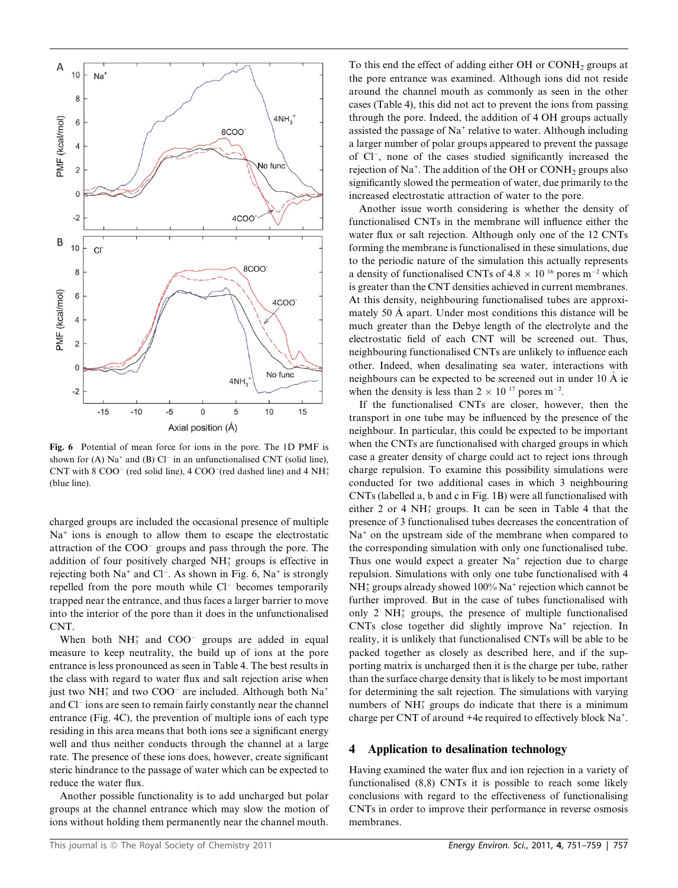

Fig. 6 Potential of mean force for ions in the pore. The 1D PMF is shown for (A)  $Na^+$  and (B)  $Cl^-$  in an unfunctionalised CNT (solid line), CNT with  $8 \text{ COO}^-$  (red solid line),  $4 \text{ COO}^-$ (red dashed line) and  $4 \text{ NH}_3^+$ (blue line).

charged groups are included the occasional presence of multiple  $Na<sup>+</sup>$  ions is enough to allow them to escape the electrostatic attraction of the COO<sup>-</sup> groups and pass through the pore. The addition of four positively charged NH<sub>3</sub> groups is effective in rejecting both  $Na^+$  and Cl<sup>-</sup>. As shown in Fig. 6,  $Na^+$  is strongly repelled from the pore mouth while Cl<sup>-</sup> becomes temporarily trapped near the entrance, and thus faces a larger barrier to move into the interior of the pore than it does in the unfunctionalised CNT.

When both  $NH<sub>3</sub><sup>+</sup>$  and  $COO<sup>-</sup>$  groups are added in equal measure to keep neutrality, the build up of ions at the pore entrance is less pronounced as seen in Table 4. The best results in the class with regard to water flux and salt rejection arise when just two  $NH_3^*$  and two COO<sup>-</sup> are included. Although both  $Na^+$ and Cl<sup>-</sup> ions are seen to remain fairly constantly near the channel entrance (Fig. 4C), the prevention of multiple ions of each type residing in this area means that both ions see a significant energy well and thus neither conducts through the channel at a large rate. The presence of these ions does, however, create significant steric hindrance to the passage of water which can be expected to reduce the water flux.

Another possible functionality is to add uncharged but polar groups at the channel entrance which may slow the motion of ions without holding them permanently near the channel mouth.

To this end the effect of adding either OH or CONH<sub>2</sub> groups at the pore entrance was examined. Although ions did not reside around the channel mouth as commonly as seen in the other cases (Table 4), this did not act to prevent the ions from passing through the pore. Indeed, the addition of 4 OH groups actually assisted the passage of  $Na<sup>+</sup>$  relative to water. Although including a larger number of polar groups appeared to prevent the passage of Cl<sup>-</sup>, none of the cases studied significantly increased the rejection of Na<sup>+</sup>. The addition of the OH or  $COMH<sub>2</sub>$  groups also significantly slowed the permeation of water, due primarily to the increased electrostatic attraction of water to the pore.

Another issue worth considering is whether the density of functionalised CNTs in the membrane will influence either the water flux or salt rejection. Although only one of the 12 CNTs forming the membrane is functionalised in these simulations, due to the periodic nature of the simulation this actually represents a density of functionalised CNTs of 4.8  $\times$  10<sup>16</sup> pores m<sup>-2</sup> which is greater than the CNT densities achieved in current membranes. At this density, neighbouring functionalised tubes are approximately 50  $\AA$  apart. Under most conditions this distance will be much greater than the Debye length of the electrolyte and the electrostatic field of each CNT will be screened out. Thus, neighbouring functionalised CNTs are unlikely to influence each other. Indeed, when desalinating sea water, interactions with neighbours can be expected to be screened out in under 10  $\AA$  ie when the density is less than  $2 \times 10^{-17}$  pores m<sup>-2</sup>.

If the functionalised CNTs are closer, however, then the transport in one tube may be influenced by the presence of the neighbour. In particular, this could be expected to be important when the CNTs are functionalised with charged groups in which case a greater density of charge could act to reject ions through charge repulsion. To examine this possibility simulations were conducted for two additional cases in which 3 neighbouring CNTs (labelled a, b and c in Fig. 1B) were all functionalised with either 2 or 4  $NH<sub>3</sub><sup>+</sup>$  groups. It can be seen in Table 4 that the presence of 3 functionalised tubes decreases the concentration of Na<sup>+</sup> on the upstream side of the membrane when compared to the corresponding simulation with only one functionalised tube. Thus one would expect a greater  $Na<sup>+</sup>$  rejection due to charge repulsion. Simulations with only one tube functionalised with 4 NH<sup>+</sup> groups already showed 100% Na<sup>+</sup> rejection which cannot be further improved. But in the case of tubes functionalised with only 2 NH<sub>3</sub> groups, the presence of multiple functionalised CNTs close together did slightly improve Na<sup>+</sup> rejection. In reality, it is unlikely that functionalised CNTs will be able to be packed together as closely as described here, and if the supporting matrix is uncharged then it is the charge per tube, rather than the surface charge density that is likely to be most important for determining the salt rejection. The simulations with varying numbers of NH<sup>+</sup> groups do indicate that there is a minimum charge per CNT of around +4e required to effectively block Na<sup>+</sup>.

#### 4 Application to desalination technology

Having examined the water flux and ion rejection in a variety of functionalised (8,8) CNTs it is possible to reach some likely conclusions with regard to the effectiveness of functionalising CNTs in order to improve their performance in reverse osmosis membranes.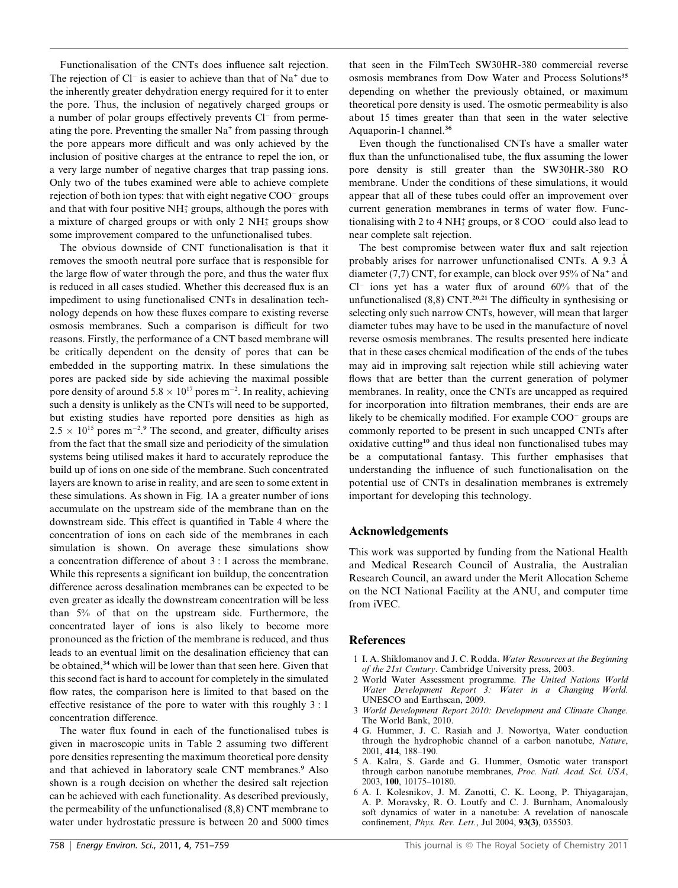Functionalisation of the CNTs does influence salt rejection. The rejection of  $Cl^-$  is easier to achieve than that of  $Na^+$  due to the inherently greater dehydration energy required for it to enter the pore. Thus, the inclusion of negatively charged groups or a number of polar groups effectively prevents  $Cl^-$  from permeating the pore. Preventing the smaller  $Na<sup>+</sup>$  from passing through the pore appears more difficult and was only achieved by the inclusion of positive charges at the entrance to repel the ion, or a very large number of negative charges that trap passing ions. Only two of the tubes examined were able to achieve complete rejection of both ion types: that with eight negative COO<sup>-</sup> groups and that with four positive  $NH<sub>3</sub>$  groups, although the pores with a mixture of charged groups or with only  $2 \text{ NH}_3^+$  groups show some improvement compared to the unfunctionalised tubes.

The obvious downside of CNT functionalisation is that it removes the smooth neutral pore surface that is responsible for the large flow of water through the pore, and thus the water flux is reduced in all cases studied. Whether this decreased flux is an impediment to using functionalised CNTs in desalination technology depends on how these fluxes compare to existing reverse osmosis membranes. Such a comparison is difficult for two reasons. Firstly, the performance of a CNT based membrane will be critically dependent on the density of pores that can be embedded in the supporting matrix. In these simulations the pores are packed side by side achieving the maximal possible pore density of around  $5.8 \times 10^{17}$  pores m<sup>-2</sup>. In reality, achieving such a density is unlikely as the CNTs will need to be supported, but existing studies have reported pore densities as high as  $2.5 \times 10^{15}$  pores m<sup>-2</sup>.<sup>9</sup> The second, and greater, difficulty arises from the fact that the small size and periodicity of the simulation systems being utilised makes it hard to accurately reproduce the build up of ions on one side of the membrane. Such concentrated layers are known to arise in reality, and are seen to some extent in these simulations. As shown in Fig. 1A a greater number of ions accumulate on the upstream side of the membrane than on the downstream side. This effect is quantified in Table 4 where the concentration of ions on each side of the membranes in each simulation is shown. On average these simulations show a concentration difference of about 3 : 1 across the membrane. While this represents a significant ion buildup, the concentration difference across desalination membranes can be expected to be even greater as ideally the downstream concentration will be less than 5% of that on the upstream side. Furthermore, the concentrated layer of ions is also likely to become more pronounced as the friction of the membrane is reduced, and thus leads to an eventual limit on the desalination efficiency that can be obtained,<sup>34</sup> which will be lower than that seen here. Given that this second fact is hard to account for completely in the simulated flow rates, the comparison here is limited to that based on the effective resistance of the pore to water with this roughly 3 : 1 concentration difference.

The water flux found in each of the functionalised tubes is given in macroscopic units in Table 2 assuming two different pore densities representing the maximum theoretical pore density and that achieved in laboratory scale CNT membranes.<sup>9</sup> Also shown is a rough decision on whether the desired salt rejection can be achieved with each functionality. As described previously, the permeability of the unfunctionalised (8,8) CNT membrane to water under hydrostatic pressure is between 20 and 5000 times

that seen in the FilmTech SW30HR-380 commercial reverse osmosis membranes from Dow Water and Process Solutions<sup>35</sup> depending on whether the previously obtained, or maximum theoretical pore density is used. The osmotic permeability is also about 15 times greater than that seen in the water selective Aquaporin-1 channel.<sup>36</sup>

Even though the functionalised CNTs have a smaller water flux than the unfunctionalised tube, the flux assuming the lower pore density is still greater than the SW30HR-380 RO membrane. Under the conditions of these simulations, it would appear that all of these tubes could offer an improvement over current generation membranes in terms of water flow. Functionalising with 2 to 4  $NH<sub>3</sub>$  groups, or 8 COO<sup>-</sup> could also lead to near complete salt rejection.

The best compromise between water flux and salt rejection probably arises for narrower unfunctionalised CNTs. A 9.3 Å diameter (7,7) CNT, for example, can block over 95% of Na+ and  $Cl^-$  ions yet has a water flux of around  $60\%$  that of the unfunctionalised  $(8,8)$  CNT.<sup>20,21</sup> The difficulty in synthesising or selecting only such narrow CNTs, however, will mean that larger diameter tubes may have to be used in the manufacture of novel reverse osmosis membranes. The results presented here indicate that in these cases chemical modification of the ends of the tubes may aid in improving salt rejection while still achieving water flows that are better than the current generation of polymer membranes. In reality, once the CNTs are uncapped as required for incorporation into filtration membranes, their ends are are likely to be chemically modified. For example  $COO<sup>-</sup>$  groups are commonly reported to be present in such uncapped CNTs after oxidative cutting<sup>10</sup> and thus ideal non functionalised tubes may be a computational fantasy. This further emphasises that understanding the influence of such functionalisation on the potential use of CNTs in desalination membranes is extremely important for developing this technology.

### Acknowledgements

This work was supported by funding from the National Health and Medical Research Council of Australia, the Australian Research Council, an award under the Merit Allocation Scheme on the NCI National Facility at the ANU, and computer time from iVEC.

#### **References**

- 1 I. A. Shiklomanov and J. C. Rodda. Water Resources at the Beginning of the 21st Century. Cambridge University press, 2003.
- 2 World Water Assessment programme. The United Nations World Water Development Report 3: Water in a Changing World. UNESCO and Earthscan, 2009.
- 3 World Development Report 2010: Development and Climate Change. The World Bank, 2010.
- 4 G. Hummer, J. C. Rasiah and J. Nowortya, Water conduction through the hydrophobic channel of a carbon nanotube, Nature, 2001, 414, 188–190.
- 5 A. Kalra, S. Garde and G. Hummer, Osmotic water transport through carbon nanotube membranes, Proc. Natl. Acad. Sci. USA, 2003, 100, 10175–10180.
- 6 A. I. Kolesnikov, J. M. Zanotti, C. K. Loong, P. Thiyagarajan, A. P. Moravsky, R. O. Loutfy and C. J. Burnham, Anomalously soft dynamics of water in a nanotube: A revelation of nanoscale confinement, Phys. Rev. Lett., Jul 2004, 93(3), 035503.